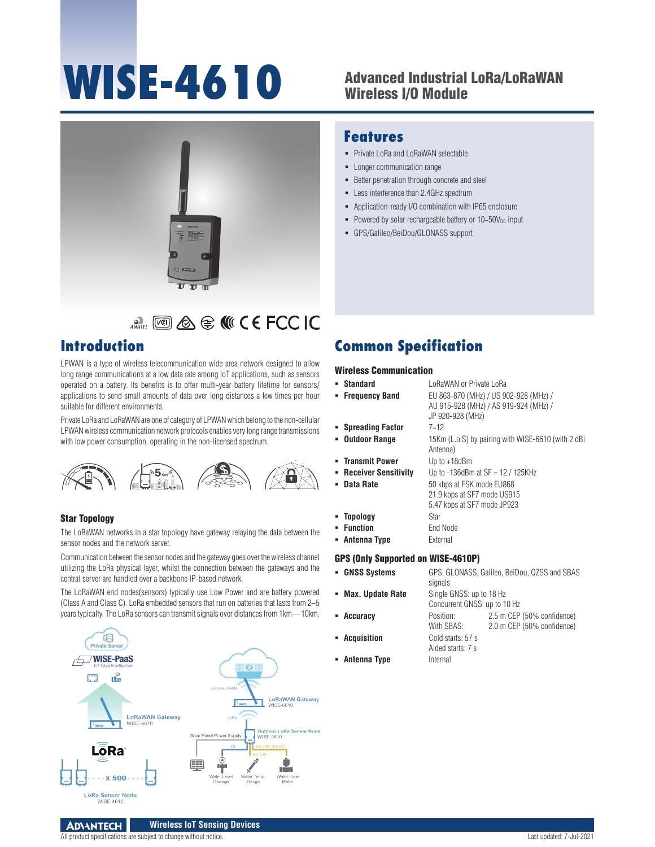# **WISE-4610**

# Advanced Industrial LoRa/LoRaWAN Wireless I/O Module



# **ANATE [VO] & G MICE FCC IC**

# **Introduction**

LPWAN is a type of wireless telecommunication wide area network designed to allow long range communications at a low data rate among IoT applications, such as sensors operated on a battery. Its benefits is to offer multi-year battery lifetime for sensors/ applications to send small amounts of data over long distances a few times per hour suitable for different environments.

Private LoRa and LoRaWAN are one of category of LPWAN which belong to the non-cellular LPWAN wireless communication network protocols enables very long range transmissions with low power consumption, operating in the non-licensed spectrum.



## Star Topology

The LoRaWAN networks in a star topology have gateway relaying the data between the sensor nodes and the network server.

Communication between the sensor nodes and the gateway goes over the wireless channel utilizing the LoRa physical layer, whilst the connection between the gateways and the central server are handled over a backbone IP-based network.

The LoRaWAN end nodes(sensors) typically use Low Power and are battery powered (Class A and Class C). LoRa embedded sensors that run on batteries that lasts from 2–5 years typically. The LoRa sensors can transmit signals over distances from 1km—10km.



## **Features**

- **Private LoRa and LoRaWAN selectable**
- Longer communication range
- **Better penetration through concrete and steel**
- **-** Less interference than 2.4GHz spectrum
- Application-ready I/O combination with IP65 enclosure
- Powered by solar rechargeable battery or  $10-50V_{DC}$  input
- GPS/Galileo/BeiDou/GLONASS support

# **Common Specification**

## Wireless Communication

| • Standard                         | LoRaWAN or Private LoRa                                                                            |                                                          |  |
|------------------------------------|----------------------------------------------------------------------------------------------------|----------------------------------------------------------|--|
| • Frequency Band                   | EU 863-870 (MHz) / US 902-928 (MHz) /<br>AU 915-928 (MHz) / AS 919-924 (MHz) /<br>JP 920-928 (MHz) |                                                          |  |
| • Spreading Factor                 | $7 - 12$                                                                                           |                                                          |  |
| • Outdoor Range                    | Antenna)                                                                                           | 15Km (L.o.S) by pairing with WISE-6610 (with 2 dBi       |  |
| • Transmit Power                   | Up to +18dBm                                                                                       |                                                          |  |
| - Receiver Sensitivity             | Up to $-136$ dBm at SF = 12 / 125KHz                                                               |                                                          |  |
| • Data Rate                        | 50 kbps at FSK mode EU868<br>21.9 kbps at SF7 mode US915<br>5.47 kbps at SF7 mode JP923            |                                                          |  |
| • Topology                         | Star                                                                                               |                                                          |  |
| • Function                         | End Node                                                                                           |                                                          |  |
| • Antenna Type                     | External                                                                                           |                                                          |  |
| GPS (Only Supported on WISE-4610P) |                                                                                                    |                                                          |  |
| • GNSS Systems                     | GPS, GLONASS, Galileo, BeiDou, QZSS and SBAS<br>signals                                            |                                                          |  |
| • Max. Update Rate                 | Single GNSS: up to 18 Hz<br>Concurrent GNSS: up to 10 Hz                                           |                                                          |  |
| • Accuracy                         | Position:<br>With SBAS:                                                                            | 2.5 m CEP (50% confidence)<br>2.0 m CEP (50% confidence) |  |

- - **Acquisition** Cold starts: 57 s Aided starts: 7 s
	- **Antenna Type** Internal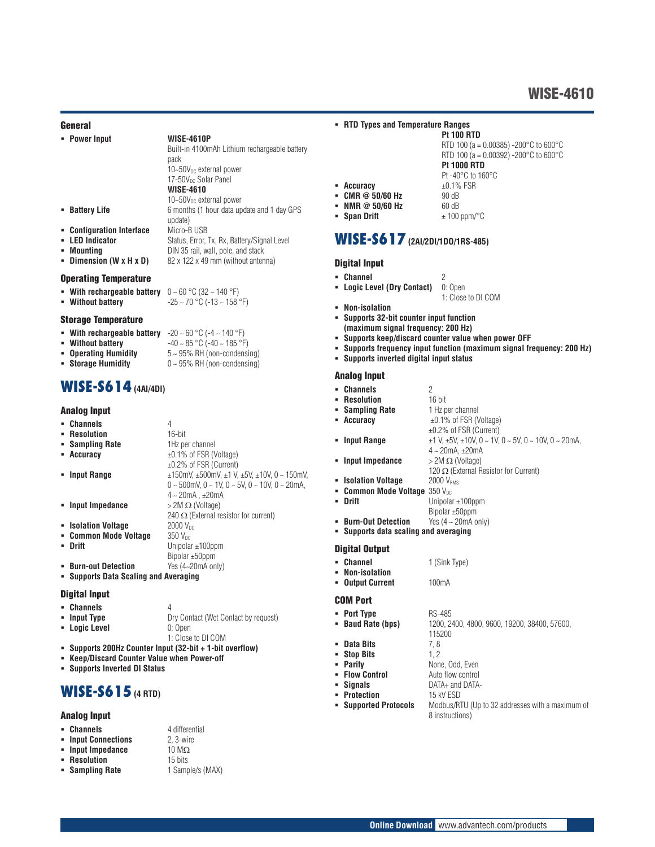#### General

|   | • Power Input                                                                           | <b>WISE-4610P</b>                             |
|---|-----------------------------------------------------------------------------------------|-----------------------------------------------|
|   |                                                                                         | Built-in 4100mAh Lithium rechargeable battery |
|   |                                                                                         | pack                                          |
|   |                                                                                         | 10~50V <sub>pc</sub> external power           |
|   |                                                                                         | 17-50V <sub>pc</sub> Solar Panel              |
|   |                                                                                         | <b>WISE-4610</b>                              |
|   |                                                                                         | 10~50V <sub>DC</sub> external power           |
| ٠ | <b>Battery Life</b>                                                                     | 6 months (1 hour data update and 1 day GPS    |
|   |                                                                                         | update)                                       |
|   | • Configuration Interface                                                               | Micro-B USB                                   |
| ٠ | <b>LED Indicator</b>                                                                    | Status, Error, Tx, Rx, Battery/Signal Level   |
| ٠ | Mounting                                                                                | DIN 35 rail, wall, pole, and stack            |
|   | Dimension (W x H x D)                                                                   | 82 x 122 x 49 mm (without antenna)            |
|   |                                                                                         |                                               |
|   | <b>Operating Temperature</b>                                                            |                                               |
|   | <b>• With rechargeable battery</b> $0 \sim 60 \degree C (32 \sim 140 \degree F)$        |                                               |
|   | • Without battery                                                                       | $-25 \sim 70$ °C (-13 ~ 158 °F)               |
|   |                                                                                         |                                               |
|   | <b>Storage Temperature</b>                                                              |                                               |
|   | <b>• With rechargeable battery</b> $-20 \sim 60 \degree C$ (-4 $\sim$ 140 $\degree F$ ) |                                               |
| ٠ | <b>Without battery</b>                                                                  | $-40 \sim 85$ °C ( $-40 \sim 185$ °F)         |
|   | - Anovotina Uumiditu                                                                    | $E$ OEM DU (non condensing)                   |

- **Operating Humidity** 5 ~ 95% RH (non-condensing) **Storage Humidity** 0 ~ 95% RH (non-condensing)
- 

## **WISE-S614(4AI/4DI)**

## Analog Input

| • Channels            | 4                                                                           |
|-----------------------|-----------------------------------------------------------------------------|
| • Resolution          | $16$ -bit                                                                   |
| • Sampling Rate       | 1Hz per channel                                                             |
| • Accuracy            | $\pm 0.1\%$ of FSR (Voltage)                                                |
|                       | $\pm 0.2\%$ of FSR (Current)                                                |
| • Input Range         | $\pm$ 150mV, $\pm$ 500mV, $\pm$ 1 V, $\pm$ 5V, $\pm$ 10V, 0 ~ 150mV,        |
|                       | $0 \sim 500$ mV, $0 \sim 1$ V, $0 \sim 5$ V, $0 \sim 10$ V, $0 \sim 20$ mA. |
|                       | $4 \sim 20$ mA . $\pm 20$ mA                                                |
| • Input Impedance     | $>$ 2M $\Omega$ (Voltage)                                                   |
|                       | 240 $\Omega$ (External resistor for current)                                |
| • Isolation Voltage   | 2000 V <sub>nc</sub>                                                        |
| • Common Mode Voltage | $350$ V <sub>pc</sub>                                                       |
| • Drift               | Unipolar $\pm 100$ ppm                                                      |
|                       | Bipolar $\pm 50$ ppm                                                        |
| • Burn-out Detection  | Yes (4~20mA only)                                                           |

**Supports Data Scaling and Averaging**

## Digital Input

| • Channels    | Д                                    |
|---------------|--------------------------------------|
| • Input Type  | Dry Contact (Wet Contact by request) |
| • Logic Level | 0: Open                              |
|               | 1: Close to DI COM                   |
|               |                                      |

- **Supports 200Hz Counter Input (32-bit + 1-bit overflow)**
- **Keep/Discard Counter Value when Power-off**
- **Supports Inverted DI Status**

## **WISE-S615 (4 RTD)**

#### Analog Input

- 
- **Channels** 4 differential<br> **Input Connections** 2.3-wire
- **·** Input Impedance
- 
- 

#### **RTD Types and Temperature Ranges**

| <b>Pt 100 RTD</b>                                           |
|-------------------------------------------------------------|
| RTD 100 (a = 0.00385) -200 $^{\circ}$ C to 600 $^{\circ}$ C |
| RTD 100 (a = 0.00392) -200°C to 600°C                       |
| <b>Pt 1000 RTD</b>                                          |
| Pt-40°C to 160°C                                            |
| $\pm 0.1\%$ FSR                                             |
| 90 dB                                                       |
| 60 dB                                                       |
| $\pm$ 100 ppm/°C                                            |

**Span Drift**  $\pm 100 \text{ ppm}$ <sup>o</sup>

## **WISE-S617 (2AI/2DI/1DO/1RS-485)**

#### Digital Input

**-** Accuracy **CMR @ 50/60 Hz • NMR @ 50/60 Hz** 

- 
- **Channel** 2<br>**Example 2 Contact** 2 **Contact** 2 **C** Den **-** Logic Level (Dry Contact)
- 
- **Non-isolation**<br>**Bupports 32-b Supports 32-bit counter input function**
- **(maximum signal frequency: 200 Hz)**
- **Supports keep/discard counter value when power OFF**
- **Supports frequency input function (maximum signal frequency: 200 Hz)**

1: Close to DI COM

**Supports inverted digital input status**

## Analog Input

| • Channels                                                     | 2                                                                  |
|----------------------------------------------------------------|--------------------------------------------------------------------|
| • Resolution                                                   | $16$ bit                                                           |
| • Sampling Rate                                                | 1 Hz per channel                                                   |
| • Accuracy                                                     | $\pm 0.1\%$ of FSR (Voltage)                                       |
|                                                                | $\pm 0.2\%$ of FSR (Current)                                       |
| • Input Range                                                  | $\pm$ 1 V, $\pm$ 5V, $\pm$ 10V, 0 ~ 1V, 0 ~ 5V, 0 ~ 10V, 0 ~ 20mA, |
|                                                                | $4 \sim 20$ mA. $\pm 20$ mA                                        |
| • Input Impedance                                              | $>$ 2M $\Omega$ (Voltage)                                          |
|                                                                | 120 $\Omega$ (External Resistor for Current)                       |
| • Isolation Voltage                                            | 2000 V <sub>RMS</sub>                                              |
| <b>- Common Mode Voltage <math>350\,\mathrm{V_{DC}}</math></b> |                                                                    |
| <b>Drift</b>                                                   | Unipolar $\pm$ 100ppm                                              |
|                                                                | Bipolar $\pm 50$ ppm                                               |
| • Burn-Out Detection                                           | Yes $(4 - 20mA \text{ only})$                                      |
|                                                                | • Supports data scaling and averaging                              |

#### Digital Output

- **Channel** 1 (Sink Type)
- **Non-isolation Output Current** 100mA

#### COM Port

**Port Type** RS-485<br>**Baud Rate (bps)** 1200, 2 **Baud Rate (bps)** 1200, 2400, 4800, 9600, 19200, 38400, 57600, 115200 **Pata Bits** 7, 8<br>**Pata Bits** 7, 8<br>**Pata Bits** 1, 2 **Stop Bits**<br>• Parity None, Odd, Even<br>Auto flow control **Flow Control Signals** DATA+ and DATA-<br>**Protection** 15 kV ESD **Protection<br>• Supported Protocols Supported Protocols** Modbus/RTU (Up to 32 addresses with a maximum of 8 instructions)

**Input Connections** 2, 3-wire<br>**Input Impedance** 10 M $\Omega$  **Resolution** 15 bits **Sampling Rate** 1 Sample/s (MAX)